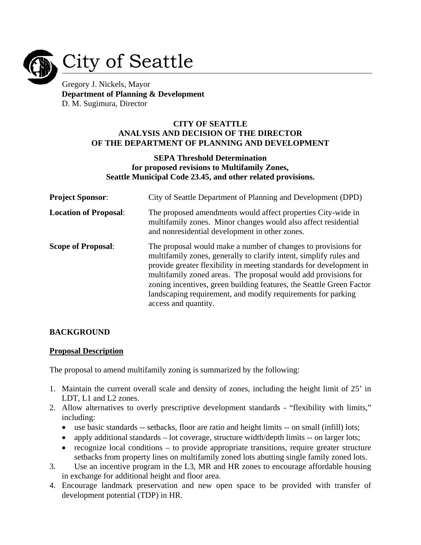

# City of Seattle

Gregory J. Nickels, Mayor **Department of Planning & Development**  D. M. Sugimura, Director

#### **CITY OF SEATTLE ANALYSIS AND DECISION OF THE DIRECTOR OF THE DEPARTMENT OF PLANNING AND DEVELOPMENT**

### **SEPA Threshold Determination for proposed revisions to Multifamily Zones, Seattle Municipal Code 23.45, and other related provisions.**

| <b>Project Sponsor:</b>      | City of Seattle Department of Planning and Development (DPD)                                                                                                                                                                                                                                                                                                                                                                                 |  |  |
|------------------------------|----------------------------------------------------------------------------------------------------------------------------------------------------------------------------------------------------------------------------------------------------------------------------------------------------------------------------------------------------------------------------------------------------------------------------------------------|--|--|
| <b>Location of Proposal:</b> | The proposed amendments would affect properties City-wide in<br>multifamily zones. Minor changes would also affect residential<br>and nonresidential development in other zones.                                                                                                                                                                                                                                                             |  |  |
| <b>Scope of Proposal:</b>    | The proposal would make a number of changes to provisions for<br>multifamily zones, generally to clarify intent, simplify rules and<br>provide greater flexibility in meeting standards for development in<br>multifamily zoned areas. The proposal would add provisions for<br>zoning incentives, green building features, the Seattle Green Factor<br>landscaping requirement, and modify requirements for parking<br>access and quantity. |  |  |

# **BACKGROUND**

#### **Proposal Description**

The proposal to amend multifamily zoning is summarized by the following:

- 1. Maintain the current overall scale and density of zones, including the height limit of 25' in LDT, L1 and L2 zones.
- 2. Allow alternatives to overly prescriptive development standards "flexibility with limits," including:
	- use basic standards -- setbacks, floor are ratio and height limits -- on small (infill) lots;
	- apply additional standards lot coverage, structure width/depth limits -- on larger lots;
	- recognize local conditions to provide appropriate transitions, require greater structure setbacks from property lines on multifamily zoned lots abutting single family zoned lots.
- 3. Use an incentive program in the L3, MR and HR zones to encourage affordable housing in exchange for additional height and floor area.
- 4. Encourage landmark preservation and new open space to be provided with transfer of development potential (TDP) in HR.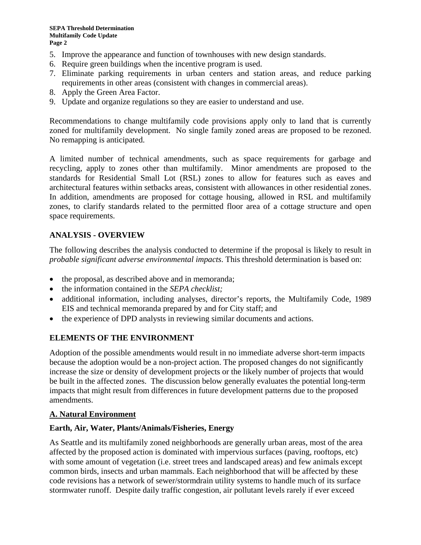- 5. Improve the appearance and function of townhouses with new design standards.
- 6. Require green buildings when the incentive program is used.
- 7. Eliminate parking requirements in urban centers and station areas, and reduce parking requirements in other areas (consistent with changes in commercial areas).
- 8. Apply the Green Area Factor.
- 9. Update and organize regulations so they are easier to understand and use.

Recommendations to change multifamily code provisions apply only to land that is currently zoned for multifamily development. No single family zoned areas are proposed to be rezoned. No remapping is anticipated.

A limited number of technical amendments, such as space requirements for garbage and recycling, apply to zones other than multifamily. Minor amendments are proposed to the standards for Residential Small Lot (RSL) zones to allow for features such as eaves and architectural features within setbacks areas, consistent with allowances in other residential zones. In addition, amendments are proposed for cottage housing, allowed in RSL and multifamily zones, to clarify standards related to the permitted floor area of a cottage structure and open space requirements.

# **ANALYSIS - OVERVIEW**

The following describes the analysis conducted to determine if the proposal is likely to result in *probable significant adverse environmental impacts*. This threshold determination is based on:

- the proposal, as described above and in memoranda;
- the information contained in the *SEPA checklist;*
- additional information, including analyses, director's reports, the Multifamily Code, 1989 EIS and technical memoranda prepared by and for City staff; and
- the experience of DPD analysts in reviewing similar documents and actions.

# **ELEMENTS OF THE ENVIRONMENT**

Adoption of the possible amendments would result in no immediate adverse short-term impacts because the adoption would be a non-project action. The proposed changes do not significantly increase the size or density of development projects or the likely number of projects that would be built in the affected zones. The discussion below generally evaluates the potential long-term impacts that might result from differences in future development patterns due to the proposed amendments.

# **A. Natural Environment**

# **Earth, Air, Water, Plants/Animals/Fisheries, Energy**

As Seattle and its multifamily zoned neighborhoods are generally urban areas, most of the area affected by the proposed action is dominated with impervious surfaces (paving, rooftops, etc) with some amount of vegetation (i.e. street trees and landscaped areas) and few animals except common birds, insects and urban mammals. Each neighborhood that will be affected by these code revisions has a network of sewer/stormdrain utility systems to handle much of its surface stormwater runoff. Despite daily traffic congestion, air pollutant levels rarely if ever exceed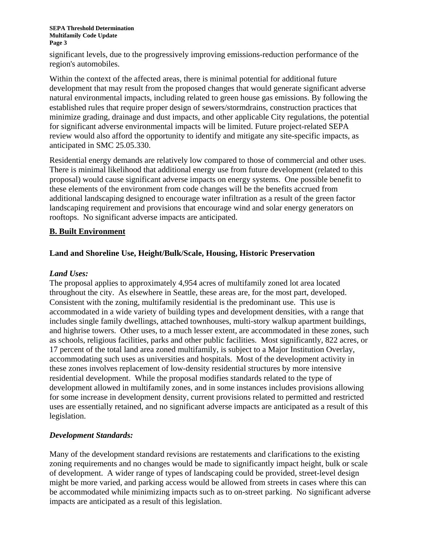significant levels, due to the progressively improving emissions-reduction performance of the region's automobiles.

Within the context of the affected areas, there is minimal potential for additional future development that may result from the proposed changes that would generate significant adverse natural environmental impacts, including related to green house gas emissions. By following the established rules that require proper design of sewers/stormdrains, construction practices that minimize grading, drainage and dust impacts, and other applicable City regulations, the potential for significant adverse environmental impacts will be limited. Future project-related SEPA review would also afford the opportunity to identify and mitigate any site-specific impacts, as anticipated in SMC 25.05.330.

Residential energy demands are relatively low compared to those of commercial and other uses. There is minimal likelihood that additional energy use from future development (related to this proposal) would cause significant adverse impacts on energy systems. One possible benefit to these elements of the environment from code changes will be the benefits accrued from additional landscaping designed to encourage water infiltration as a result of the green factor landscaping requirement and provisions that encourage wind and solar energy generators on rooftops. No significant adverse impacts are anticipated.

### **B. Built Environment**

### **Land and Shoreline Use, Height/Bulk/Scale, Housing, Historic Preservation**

#### *Land Uses:*

The proposal applies to approximately 4,954 acres of multifamily zoned lot area located throughout the city. As elsewhere in Seattle, these areas are, for the most part, developed. Consistent with the zoning, multifamily residential is the predominant use. This use is accommodated in a wide variety of building types and development densities, with a range that includes single family dwellings, attached townhouses, multi-story walkup apartment buildings, and highrise towers. Other uses, to a much lesser extent, are accommodated in these zones, such as schools, religious facilities, parks and other public facilities. Most significantly, 822 acres, or 17 percent of the total land area zoned multifamily, is subject to a Major Institution Overlay, accommodating such uses as universities and hospitals. Most of the development activity in these zones involves replacement of low-density residential structures by more intensive residential development. While the proposal modifies standards related to the type of development allowed in multifamily zones, and in some instances includes provisions allowing for some increase in development density, current provisions related to permitted and restricted uses are essentially retained, and no significant adverse impacts are anticipated as a result of this legislation.

#### *Development Standards:*

Many of the development standard revisions are restatements and clarifications to the existing zoning requirements and no changes would be made to significantly impact height, bulk or scale of development. A wider range of types of landscaping could be provided, street-level design might be more varied, and parking access would be allowed from streets in cases where this can be accommodated while minimizing impacts such as to on-street parking. No significant adverse impacts are anticipated as a result of this legislation.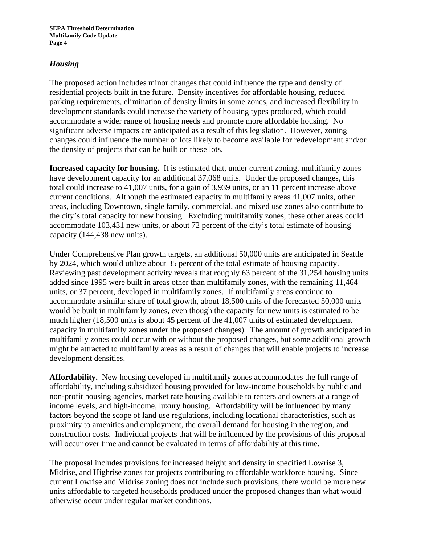### *Housing*

The proposed action includes minor changes that could influence the type and density of residential projects built in the future. Density incentives for affordable housing, reduced parking requirements, elimination of density limits in some zones, and increased flexibility in development standards could increase the variety of housing types produced, which could accommodate a wider range of housing needs and promote more affordable housing. No significant adverse impacts are anticipated as a result of this legislation. However, zoning changes could influence the number of lots likely to become available for redevelopment and/or the density of projects that can be built on these lots.

**Increased capacity for housing.** It is estimated that, under current zoning, multifamily zones have development capacity for an additional 37,068 units. Under the proposed changes, this total could increase to 41,007 units, for a gain of 3,939 units, or an 11 percent increase above current conditions. Although the estimated capacity in multifamily areas 41,007 units, other areas, including Downtown, single family, commercial, and mixed use zones also contribute to the city's total capacity for new housing. Excluding multifamily zones, these other areas could accommodate 103,431 new units, or about 72 percent of the city's total estimate of housing capacity (144,438 new units).

Under Comprehensive Plan growth targets, an additional 50,000 units are anticipated in Seattle by 2024, which would utilize about 35 percent of the total estimate of housing capacity. Reviewing past development activity reveals that roughly 63 percent of the 31,254 housing units added since 1995 were built in areas other than multifamily zones, with the remaining 11,464 units, or 37 percent, developed in multifamily zones. If multifamily areas continue to accommodate a similar share of total growth, about 18,500 units of the forecasted 50,000 units would be built in multifamily zones, even though the capacity for new units is estimated to be much higher (18,500 units is about 45 percent of the 41,007 units of estimated development capacity in multifamily zones under the proposed changes). The amount of growth anticipated in multifamily zones could occur with or without the proposed changes, but some additional growth might be attracted to multifamily areas as a result of changes that will enable projects to increase development densities.

**Affordability.** New housing developed in multifamily zones accommodates the full range of affordability, including subsidized housing provided for low-income households by public and non-profit housing agencies, market rate housing available to renters and owners at a range of income levels, and high-income, luxury housing. Affordability will be influenced by many factors beyond the scope of land use regulations, including locational characteristics, such as proximity to amenities and employment, the overall demand for housing in the region, and construction costs. Individual projects that will be influenced by the provisions of this proposal will occur over time and cannot be evaluated in terms of affordability at this time.

The proposal includes provisions for increased height and density in specified Lowrise 3, Midrise, and Highrise zones for projects contributing to affordable workforce housing. Since current Lowrise and Midrise zoning does not include such provisions, there would be more new units affordable to targeted households produced under the proposed changes than what would otherwise occur under regular market conditions.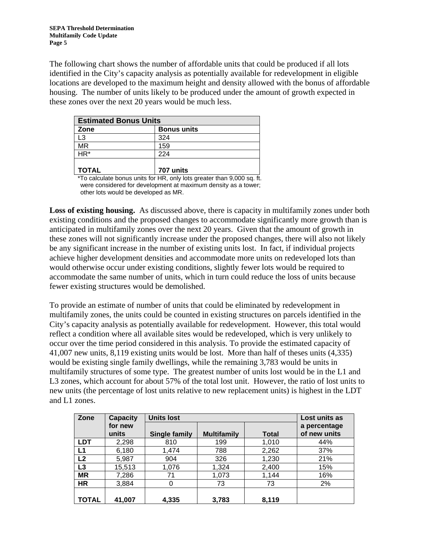The following chart shows the number of affordable units that could be produced if all lots identified in the City's capacity analysis as potentially available for redevelopment in eligible locations are developed to the maximum height and density allowed with the bonus of affordable housing. The number of units likely to be produced under the amount of growth expected in these zones over the next 20 years would be much less.

| <b>Estimated Bonus Units</b> |                    |  |  |  |
|------------------------------|--------------------|--|--|--|
| Zone                         | <b>Bonus units</b> |  |  |  |
| L3                           | 324                |  |  |  |
| <b>MR</b>                    | 159                |  |  |  |
| $HR*$                        | 224                |  |  |  |
| <b>TOTAL</b>                 | 707 units          |  |  |  |

 \*To calculate bonus units for HR, only lots greater than 9,000 sq. ft. were considered for development at maximum density as a tower; other lots would be developed as MR.

**Loss of existing housing.** As discussed above, there is capacity in multifamily zones under both existing conditions and the proposed changes to accommodate significantly more growth than is anticipated in multifamily zones over the next 20 years. Given that the amount of growth in these zones will not significantly increase under the proposed changes, there will also not likely be any significant increase in the number of existing units lost. In fact, if individual projects achieve higher development densities and accommodate more units on redeveloped lots than would otherwise occur under existing conditions, slightly fewer lots would be required to accommodate the same number of units, which in turn could reduce the loss of units because fewer existing structures would be demolished.

To provide an estimate of number of units that could be eliminated by redevelopment in multifamily zones, the units could be counted in existing structures on parcels identified in the City's capacity analysis as potentially available for redevelopment. However, this total would reflect a condition where all available sites would be redeveloped, which is very unlikely to occur over the time period considered in this analysis. To provide the estimated capacity of 41,007 new units, 8,119 existing units would be lost. More than half of theses units (4,335) would be existing single family dwellings, while the remaining 3,783 would be units in multifamily structures of some type. The greatest number of units lost would be in the L1 and L3 zones, which account for about 57% of the total lost unit. However, the ratio of lost units to new units (the percentage of lost units relative to new replacement units) is highest in the LDT and L1 zones.

| Zone       | <b>Capacity</b>  | <b>Units lost</b> | Lost units as      |              |                              |
|------------|------------------|-------------------|--------------------|--------------|------------------------------|
|            | for new<br>units | Single family     | <b>Multifamily</b> | <b>Total</b> | a percentage<br>of new units |
| <b>LDT</b> | 2,298            | 810               | 199                | 1,010        | 44%                          |
| L1         | 6,180            | 1,474             | 788                | 2,262        | 37%                          |
| L2         | 5,987            | 904               | 326                | 1,230        | 21%                          |
| L3         | 15,513           | 1,076             | 1,324              | 2,400        | 15%                          |
| <b>MR</b>  | 7,286            | 71                | 1,073              | 1,144        | 16%                          |
| <b>HR</b>  | 3,884            | 0                 | 73                 | 73           | 2%                           |
|            |                  |                   |                    |              |                              |
| TOTAL      | 41,007           | 4,335             | 3,783              | 8,119        |                              |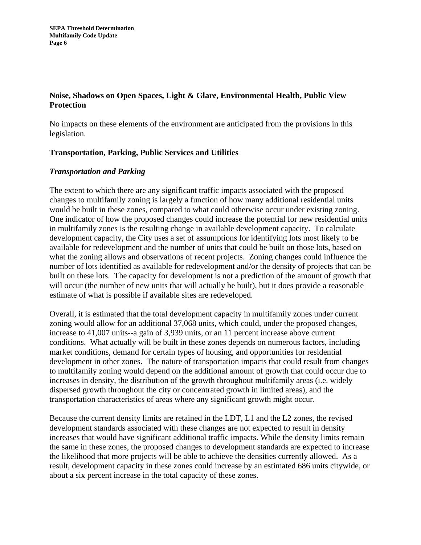# **Noise, Shadows on Open Spaces, Light & Glare, Environmental Health, Public View Protection**

No impacts on these elements of the environment are anticipated from the provisions in this legislation.

### **Transportation, Parking, Public Services and Utilities**

### *Transportation and Parking*

The extent to which there are any significant traffic impacts associated with the proposed changes to multifamily zoning is largely a function of how many additional residential units would be built in these zones, compared to what could otherwise occur under existing zoning. One indicator of how the proposed changes could increase the potential for new residential units in multifamily zones is the resulting change in available development capacity. To calculate development capacity, the City uses a set of assumptions for identifying lots most likely to be available for redevelopment and the number of units that could be built on those lots, based on what the zoning allows and observations of recent projects. Zoning changes could influence the number of lots identified as available for redevelopment and/or the density of projects that can be built on these lots. The capacity for development is not a prediction of the amount of growth that will occur (the number of new units that will actually be built), but it does provide a reasonable estimate of what is possible if available sites are redeveloped.

Overall, it is estimated that the total development capacity in multifamily zones under current zoning would allow for an additional 37,068 units, which could, under the proposed changes, increase to 41,007 units--a gain of 3,939 units, or an 11 percent increase above current conditions. What actually will be built in these zones depends on numerous factors, including market conditions, demand for certain types of housing, and opportunities for residential development in other zones. The nature of transportation impacts that could result from changes to multifamily zoning would depend on the additional amount of growth that could occur due to increases in density, the distribution of the growth throughout multifamily areas (i.e. widely dispersed growth throughout the city or concentrated growth in limited areas), and the transportation characteristics of areas where any significant growth might occur.

Because the current density limits are retained in the LDT, L1 and the L2 zones, the revised development standards associated with these changes are not expected to result in density increases that would have significant additional traffic impacts. While the density limits remain the same in these zones, the proposed changes to development standards are expected to increase the likelihood that more projects will be able to achieve the densities currently allowed. As a result, development capacity in these zones could increase by an estimated 686 units citywide, or about a six percent increase in the total capacity of these zones.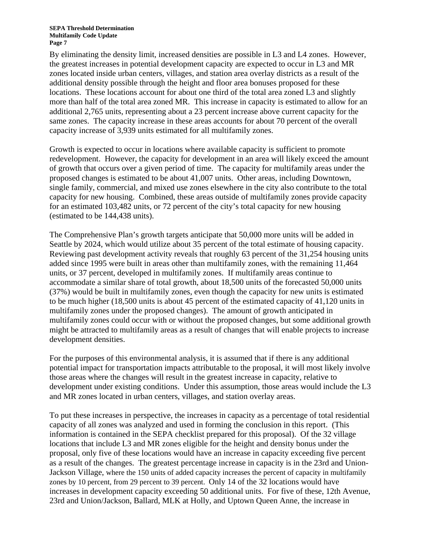By eliminating the density limit, increased densities are possible in L3 and L4 zones. However, the greatest increases in potential development capacity are expected to occur in L3 and MR zones located inside urban centers, villages, and station area overlay districts as a result of the additional density possible through the height and floor area bonuses proposed for these locations. These locations account for about one third of the total area zoned L3 and slightly more than half of the total area zoned MR. This increase in capacity is estimated to allow for an additional 2,765 units, representing about a 23 percent increase above current capacity for the same zones. The capacity increase in these areas accounts for about 70 percent of the overall capacity increase of 3,939 units estimated for all multifamily zones.

Growth is expected to occur in locations where available capacity is sufficient to promote redevelopment. However, the capacity for development in an area will likely exceed the amount of growth that occurs over a given period of time. The capacity for multifamily areas under the proposed changes is estimated to be about 41,007 units. Other areas, including Downtown, single family, commercial, and mixed use zones elsewhere in the city also contribute to the total capacity for new housing. Combined, these areas outside of multifamily zones provide capacity for an estimated 103,482 units, or 72 percent of the city's total capacity for new housing (estimated to be 144,438 units).

The Comprehensive Plan's growth targets anticipate that 50,000 more units will be added in Seattle by 2024, which would utilize about 35 percent of the total estimate of housing capacity. Reviewing past development activity reveals that roughly 63 percent of the 31,254 housing units added since 1995 were built in areas other than multifamily zones, with the remaining 11,464 units, or 37 percent, developed in multifamily zones. If multifamily areas continue to accommodate a similar share of total growth, about 18,500 units of the forecasted 50,000 units (37%) would be built in multifamily zones, even though the capacity for new units is estimated to be much higher (18,500 units is about 45 percent of the estimated capacity of 41,120 units in multifamily zones under the proposed changes). The amount of growth anticipated in multifamily zones could occur with or without the proposed changes, but some additional growth might be attracted to multifamily areas as a result of changes that will enable projects to increase development densities.

For the purposes of this environmental analysis, it is assumed that if there is any additional potential impact for transportation impacts attributable to the proposal, it will most likely involve those areas where the changes will result in the greatest increase in capacity, relative to development under existing conditions. Under this assumption, those areas would include the L3 and MR zones located in urban centers, villages, and station overlay areas.

To put these increases in perspective, the increases in capacity as a percentage of total residential capacity of all zones was analyzed and used in forming the conclusion in this report. (This information is contained in the SEPA checklist prepared for this proposal). Of the 32 village locations that include L3 and MR zones eligible for the height and density bonus under the proposal, only five of these locations would have an increase in capacity exceeding five percent as a result of the changes. The greatest percentage increase in capacity is in the 23rd and Union-Jackson Village, where the 150 units of added capacity increases the percent of capacity in multifamily zones by 10 percent, from 29 percent to 39 percent. Only 14 of the 32 locations would have increases in development capacity exceeding 50 additional units. For five of these, 12th Avenue, 23rd and Union/Jackson, Ballard, MLK at Holly, and Uptown Queen Anne, the increase in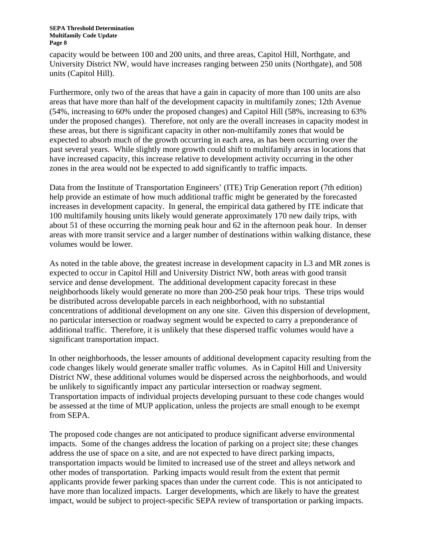#### **SEPA Threshold Determination Multifamily Code Update Page 8**

capacity would be between 100 and 200 units, and three areas, Capitol Hill, Northgate, and University District NW, would have increases ranging between 250 units (Northgate), and 508 units (Capitol Hill).

Furthermore, only two of the areas that have a gain in capacity of more than 100 units are also areas that have more than half of the development capacity in multifamily zones; 12th Avenue (54%, increasing to 60% under the proposed changes) and Capitol Hill (58%, increasing to 63% under the proposed changes). Therefore, not only are the overall increases in capacity modest in these areas, but there is significant capacity in other non-multifamily zones that would be expected to absorb much of the growth occurring in each area, as has been occurring over the past several years. While slightly more growth could shift to multifamily areas in locations that have increased capacity, this increase relative to development activity occurring in the other zones in the area would not be expected to add significantly to traffic impacts.

Data from the Institute of Transportation Engineers' (ITE) Trip Generation report (7th edition) help provide an estimate of how much additional traffic might be generated by the forecasted increases in development capacity. In general, the empirical data gathered by ITE indicate that 100 multifamily housing units likely would generate approximately 170 new daily trips, with about 51 of these occurring the morning peak hour and 62 in the afternoon peak hour. In denser areas with more transit service and a larger number of destinations within walking distance, these volumes would be lower.

As noted in the table above, the greatest increase in development capacity in L3 and MR zones is expected to occur in Capitol Hill and University District NW, both areas with good transit service and dense development. The additional development capacity forecast in these neighborhoods likely would generate no more than 200-250 peak hour trips. These trips would be distributed across developable parcels in each neighborhood, with no substantial concentrations of additional development on any one site. Given this dispersion of development, no particular intersection or roadway segment would be expected to carry a preponderance of additional traffic. Therefore, it is unlikely that these dispersed traffic volumes would have a significant transportation impact.

In other neighborhoods, the lesser amounts of additional development capacity resulting from the code changes likely would generate smaller traffic volumes. As in Capitol Hill and University District NW, these additional volumes would be dispersed across the neighborhoods, and would be unlikely to significantly impact any particular intersection or roadway segment. Transportation impacts of individual projects developing pursuant to these code changes would be assessed at the time of MUP application, unless the projects are small enough to be exempt from SEPA.

The proposed code changes are not anticipated to produce significant adverse environmental impacts. Some of the changes address the location of parking on a project site; these changes address the use of space on a site, and are not expected to have direct parking impacts, transportation impacts would be limited to increased use of the street and alleys network and other modes of transportation. Parking impacts would result from the extent that permit applicants provide fewer parking spaces than under the current code. This is not anticipated to have more than localized impacts. Larger developments, which are likely to have the greatest impact, would be subject to project-specific SEPA review of transportation or parking impacts.